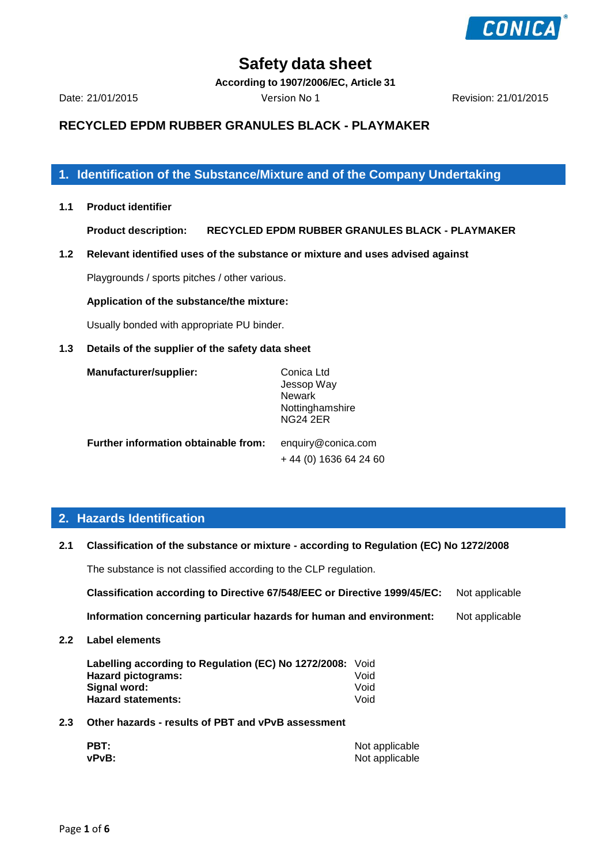

**According to 1907/2006/EC, Article 31**

Date: 21/01/2015 Version No 1 Revision: 21/01/2015

# **RECYCLED EPDM RUBBER GRANULES BLACK - PLAYMAKER**

**1. Identification of the Substance/Mixture and of the Company Undertaking**

**1.1 Product identifier**

**Product description: RECYCLED EPDM RUBBER GRANULES BLACK - PLAYMAKER**

**1.2 Relevant identified uses of the substance or mixture and uses advised against**

Playgrounds / sports pitches / other various.

#### **Application of the substance/the mixture:**

Usually bonded with appropriate PU binder.

#### **1.3 Details of the supplier of the safety data sheet**

| Manufacturer/supplier:               | Conica Ltd         |  |
|--------------------------------------|--------------------|--|
|                                      | Jessop Way         |  |
|                                      | <b>Newark</b>      |  |
|                                      | Nottinghamshire    |  |
|                                      | <b>NG24 2ER</b>    |  |
| Further information obtainable from: | enquiry@conica.com |  |

+ 44 (0) 1636 64 24 60

# **2. Hazards Identification**

**2.1 Classification of the substance or mixture - according to Regulation (EC) No 1272/2008**

The substance is not classified according to the CLP regulation.

**Classification according to Directive 67/548/EEC or Directive 1999/45/EC:** Not applicable

**Information concerning particular hazards for human and environment:** Not applicable

**2.2 Label elements**

| Labelling according to Regulation (EC) No 1272/2008: Void |      |
|-----------------------------------------------------------|------|
| Hazard pictograms:                                        | Void |
| Signal word:                                              | Void |
| <b>Hazard statements:</b>                                 | Void |

**2.3 Other hazards - results of PBT and vPvB assessment**

| PBT:  | Not applicable |
|-------|----------------|
| vPvB: | Not applicable |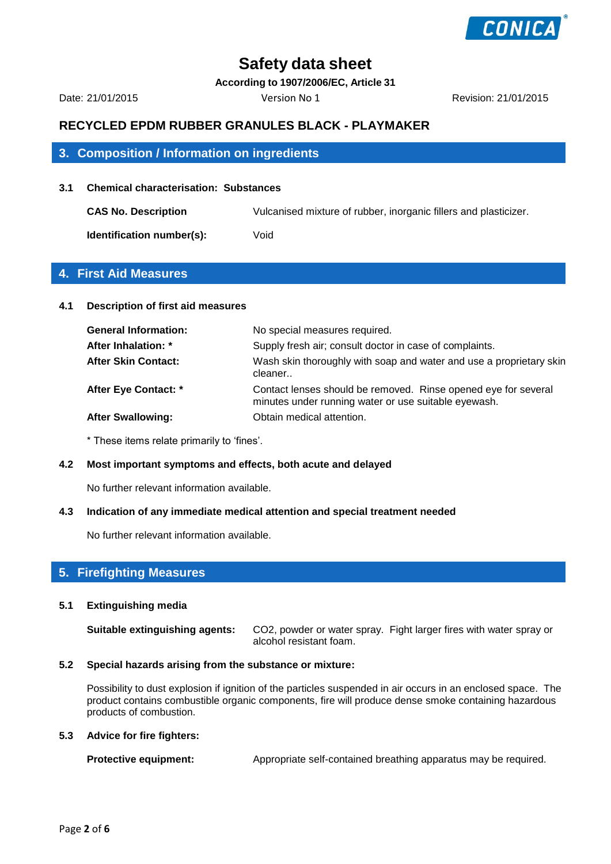

**According to 1907/2006/EC, Article 31**

Date: 21/01/2015 Version No 1 Revision: 21/01/2015

# **RECYCLED EPDM RUBBER GRANULES BLACK - PLAYMAKER**

# **3. Composition / Information on ingredients**

#### **3.1 Chemical characterisation: Substances**

**CAS No. Description** Vulcanised mixture of rubber, inorganic fillers and plasticizer. **Identification number(s):** Void

### **4. First Aid Measures**

#### **4.1 Description of first aid measures**

| <b>General Information:</b> | No special measures required.                                                                                          |
|-----------------------------|------------------------------------------------------------------------------------------------------------------------|
| After Inhalation: *         | Supply fresh air; consult doctor in case of complaints.                                                                |
| <b>After Skin Contact:</b>  | Wash skin thoroughly with soap and water and use a proprietary skin<br>cleaner                                         |
| After Eye Contact: *        | Contact lenses should be removed. Rinse opened eye for several<br>minutes under running water or use suitable eyewash. |
| <b>After Swallowing:</b>    | Obtain medical attention.                                                                                              |

\* These items relate primarily to 'fines'.

#### **4.2 Most important symptoms and effects, both acute and delayed**

No further relevant information available.

#### **4.3 Indication of any immediate medical attention and special treatment needed**

No further relevant information available.

# **5. Firefighting Measures**

#### **5.1 Extinguishing media**

**Suitable extinguishing agents:** CO2, powder or water spray. Fight larger fires with water spray or alcohol resistant foam.

#### **5.2 Special hazards arising from the substance or mixture:**

Possibility to dust explosion if ignition of the particles suspended in air occurs in an enclosed space. The product contains combustible organic components, fire will produce dense smoke containing hazardous products of combustion.

#### **5.3 Advice for fire fighters:**

**Protective equipment:** Appropriate self-contained breathing apparatus may be required.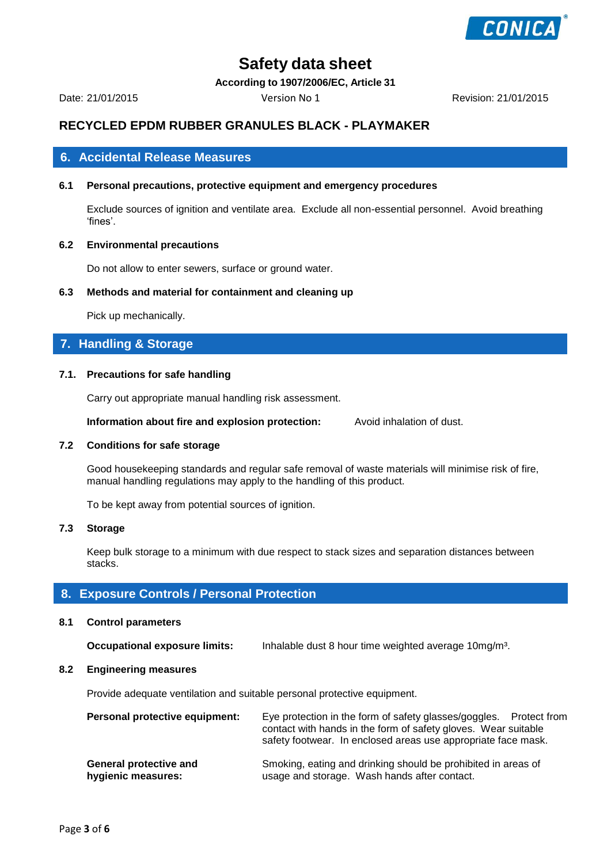

**According to 1907/2006/EC, Article 31**

Date: 21/01/2015 Version No 1 Revision: 21/01/2015

# **RECYCLED EPDM RUBBER GRANULES BLACK - PLAYMAKER**

### **6. Accidental Release Measures**

### **6.1 Personal precautions, protective equipment and emergency procedures**

Exclude sources of ignition and ventilate area. Exclude all non-essential personnel. Avoid breathing 'fines'.

#### **6.2 Environmental precautions**

Do not allow to enter sewers, surface or ground water.

#### **6.3 Methods and material for containment and cleaning up**

Pick up mechanically.

# **7. Handling & Storage**

#### **7.1. Precautions for safe handling**

Carry out appropriate manual handling risk assessment.

**Information about fire and explosion protection:** Avoid inhalation of dust.

#### **7.2 Conditions for safe storage**

Good housekeeping standards and regular safe removal of waste materials will minimise risk of fire, manual handling regulations may apply to the handling of this product.

To be kept away from potential sources of ignition.

#### **7.3 Storage**

Keep bulk storage to a minimum with due respect to stack sizes and separation distances between stacks.

### **8. Exposure Controls / Personal Protection**

#### **8.1 Control parameters**

**Occupational exposure limits:** Inhalable dust 8 hour time weighted average 10mg/m³.

#### **8.2 Engineering measures**

Provide adequate ventilation and suitable personal protective equipment.

| Personal protective equipment: | Eye protection in the form of safety glasses/goggles. Protect from<br>contact with hands in the form of safety gloves. Wear suitable<br>safety footwear. In enclosed areas use appropriate face mask. |  |
|--------------------------------|-------------------------------------------------------------------------------------------------------------------------------------------------------------------------------------------------------|--|
| <b>General protective and</b>  | Smoking, eating and drinking should be prohibited in areas of                                                                                                                                         |  |
| hygienic measures:             | usage and storage. Wash hands after contact.                                                                                                                                                          |  |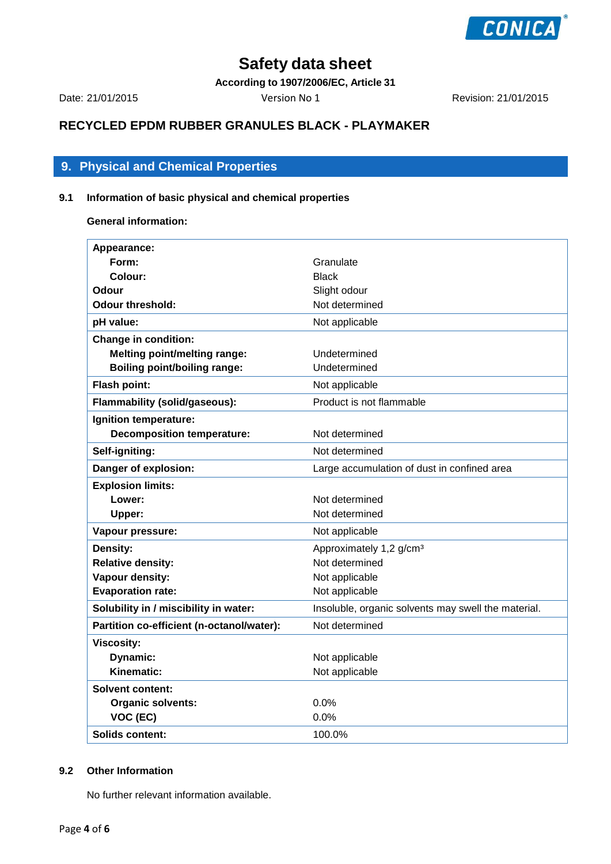

**According to 1907/2006/EC, Article 31**

Date: 21/01/2015 Version No 1 Revision: 21/01/2015

# **RECYCLED EPDM RUBBER GRANULES BLACK - PLAYMAKER**

# **9. Physical and Chemical Properties**

# **9.1 Information of basic physical and chemical properties**

**General information:**

| Appearance:                               |                                                     |
|-------------------------------------------|-----------------------------------------------------|
| Form:                                     | Granulate                                           |
| Colour:                                   | <b>Black</b>                                        |
| Odour                                     | Slight odour                                        |
| <b>Odour threshold:</b>                   | Not determined                                      |
| pH value:                                 | Not applicable                                      |
| <b>Change in condition:</b>               |                                                     |
| <b>Melting point/melting range:</b>       | Undetermined                                        |
| <b>Boiling point/boiling range:</b>       | Undetermined                                        |
| Flash point:                              | Not applicable                                      |
| <b>Flammability (solid/gaseous):</b>      | Product is not flammable                            |
| Ignition temperature:                     |                                                     |
| <b>Decomposition temperature:</b>         | Not determined                                      |
| Self-igniting:                            | Not determined                                      |
| Danger of explosion:                      | Large accumulation of dust in confined area         |
| <b>Explosion limits:</b>                  |                                                     |
| Lower:                                    | Not determined                                      |
| Upper:                                    | Not determined                                      |
| Vapour pressure:                          | Not applicable                                      |
| Density:                                  | Approximately 1,2 g/cm <sup>3</sup>                 |
| <b>Relative density:</b>                  | Not determined                                      |
| Vapour density:                           | Not applicable                                      |
| <b>Evaporation rate:</b>                  | Not applicable                                      |
| Solubility in / miscibility in water:     | Insoluble, organic solvents may swell the material. |
| Partition co-efficient (n-octanol/water): | Not determined                                      |
| <b>Viscosity:</b>                         |                                                     |
| Dynamic:                                  | Not applicable                                      |
| <b>Kinematic:</b>                         | Not applicable                                      |
| Solvent content:                          |                                                     |
| <b>Organic solvents:</b>                  | $0.0\%$                                             |
| VOC (EC)                                  | 0.0%                                                |
| Solids content:                           | 100.0%                                              |

### **9.2 Other Information**

No further relevant information available.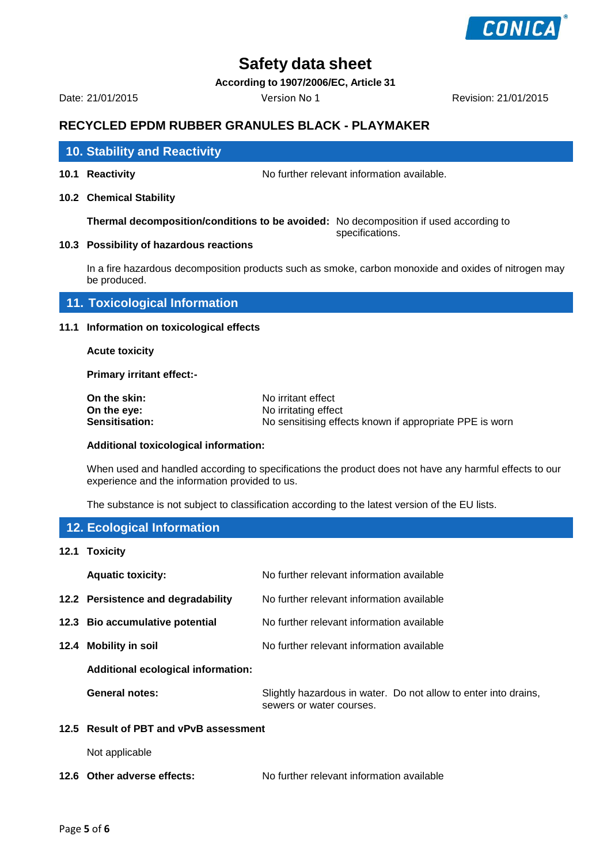

**According to 1907/2006/EC, Article 31**

Date: 21/01/2015 Version No 1 Revision: 21/01/2015

# **RECYCLED EPDM RUBBER GRANULES BLACK - PLAYMAKER**

# **10.Stability and Reactivity 10. Stability and Reactivity**

**10.1 Reactivity** No further relevant information available.

**10.2 Chemical Stability**

**Thermal decomposition/conditions to be avoided:** No decomposition if used according to specifications.

#### **10.3 Possibility of hazardous reactions**

In a fire hazardous decomposition products such as smoke, carbon monoxide and oxides of nitrogen may be produced.

**11. Toxicological Information**

#### **11.1 Information on toxicological effects**

**Acute toxicity**

**Primary irritant effect:-**

| On the skin:          | No irritant effect                                      |
|-----------------------|---------------------------------------------------------|
| On the eve:           | No irritating effect                                    |
| <b>Sensitisation:</b> | No sensitising effects known if appropriate PPE is worn |

#### **Additional toxicological information:**

When used and handled according to specifications the product does not have any harmful effects to our experience and the information provided to us.

The substance is not subject to classification according to the latest version of the EU lists.

# **12. Ecological Information**

**12.1 Toxicity**

| <b>Aquatic toxicity:</b>                  | No further relevant information available                                                   |
|-------------------------------------------|---------------------------------------------------------------------------------------------|
| 12.2 Persistence and degradability        | No further relevant information available                                                   |
| 12.3 Bio accumulative potential           | No further relevant information available                                                   |
| 12.4 Mobility in soil                     | No further relevant information available                                                   |
| <b>Additional ecological information:</b> |                                                                                             |
| General notes:                            | Slightly hazardous in water. Do not allow to enter into drains,<br>sewers or water courses. |
| 12.5 Result of PBT and vPvB assessment    |                                                                                             |
| Not applicable                            |                                                                                             |

**12.6 Other adverse effects:** No further relevant information available